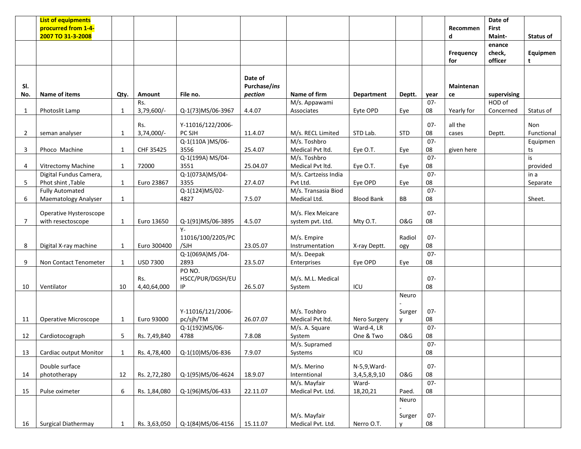|                | <b>List of equipments</b>   |              |                 |                   |              |                      |                   |                |        |                  | Date of     |                  |
|----------------|-----------------------------|--------------|-----------------|-------------------|--------------|----------------------|-------------------|----------------|--------|------------------|-------------|------------------|
|                | procurred from 1-4-         |              |                 |                   |              |                      |                   |                |        | Recommen         | First       |                  |
|                | 2007 TO 31-3-2008           |              |                 |                   |              |                      |                   |                |        | d                | Maint-      | <b>Status of</b> |
|                |                             |              |                 |                   |              |                      |                   |                |        |                  | enance      |                  |
|                |                             |              |                 |                   |              |                      |                   |                |        | <b>Frequency</b> | check,      | Equipmen         |
|                |                             |              |                 |                   |              |                      |                   |                |        | for              | officer     | t                |
|                |                             |              |                 |                   |              |                      |                   |                |        |                  |             |                  |
|                |                             |              |                 |                   |              |                      |                   |                |        |                  |             |                  |
|                |                             |              |                 |                   | Date of      |                      |                   |                |        |                  |             |                  |
| SI.            |                             |              |                 |                   | Purchase/ins |                      |                   |                |        | <b>Maintenan</b> |             |                  |
| No.            | Name of items               | Qty.         | Amount          | File no.          | pection      | Name of firm         | <b>Department</b> | Deptt.         | year   | ce               | supervising |                  |
|                |                             |              | Rs.             |                   |              | M/s. Appawami        |                   |                | $07 -$ |                  | HOD of      |                  |
| 1              | Photoslit Lamp              | 1            | 3,79,600/-      | Q-1(73)MS/06-3967 | 4.4.07       | Associates           | Eyte OPD          | Eye            | 08     | Yearly for       | Concerned   | Status of        |
|                |                             |              |                 |                   |              |                      |                   |                |        |                  |             |                  |
|                |                             |              | Rs.             | Y-11016/122/2006- |              |                      |                   |                | $07 -$ | all the          |             | Non              |
| $\overline{2}$ | seman analyser              | 1            | 3,74,000/-      | PC SJH            | 11.4.07      | M/s. RECL Limited    | STD Lab.          | <b>STD</b>     | 08     | cases            | Deptt.      | Functional       |
|                |                             |              |                 | Q-1(110A) MS/06-  |              | M/s. Toshbro         |                   |                | $07 -$ |                  |             | Equipmen         |
| 3              | Phoco Machine               | $\mathbf{1}$ | CHF 35425       | 3556              | 25.4.07      | Medical Pvt ltd.     | Eye O.T.          | Eye            | 08     | given here       |             | ts               |
|                |                             |              |                 | Q-1(199A) MS/04-  |              | M/s. Toshbro         |                   |                | $07 -$ |                  |             | is               |
| 4              | Vitrectomy Machine          | 1            | 72000           | 3551              | 25.04.07     | Medical Pvt ltd.     | Eye O.T.          | Eye            | 08     |                  |             | provided         |
|                | Digital Fundus Camera,      |              |                 | Q-1(073A)MS/04-   |              | M/s. Cartzeiss India |                   |                | $07 -$ |                  |             | in a             |
| -5             | Phot shint, Table           | $\mathbf{1}$ | Euro 23867      | 3355              | 27.4.07      | Pvt Ltd.             | Eye OPD           | Eye            | 08     |                  |             | Separate         |
|                | <b>Fully Automated</b>      |              |                 | Q-1(124)MS/02-    |              | M/s. Transasia Biod  |                   |                | $07 -$ |                  |             |                  |
| 6              | <b>Maematology Analyser</b> | $\mathbf{1}$ |                 | 4827              | 7.5.07       | Medical Ltd.         | <b>Blood Bank</b> | BB             | 08     |                  |             | Sheet.           |
|                |                             |              |                 |                   |              |                      |                   |                |        |                  |             |                  |
|                | Operative Hysteroscope      |              |                 |                   |              | M/s. Flex Meicare    |                   |                | $07 -$ |                  |             |                  |
| 7              | with resectoscope           | $\mathbf{1}$ | Euro 13650      | Q-1(91)MS/06-3895 | 4.5.07       | system pvt. Ltd.     | Mty O.T.          | <b>O&amp;G</b> | 08     |                  |             |                  |
|                |                             |              |                 | $Y -$             |              |                      |                   |                |        |                  |             |                  |
|                |                             |              |                 | 11016/100/2205/PC |              | M/s. Empire          |                   | Radiol         | $07 -$ |                  |             |                  |
| 8              | Digital X-ray machine       | 1            | Euro 300400     | /SJH              | 23.05.07     | Instrumentation      | X-ray Deptt.      | ogy            | 08     |                  |             |                  |
|                |                             |              |                 | Q-1(069A)MS/04-   |              | M/s. Deepak          |                   |                | $07 -$ |                  |             |                  |
| 9              | Non Contact Tenometer       | $\mathbf{1}$ | <b>USD 7300</b> | 2893              | 23.5.07      | Enterprises          | Eye OPD           | Eye            | 08     |                  |             |                  |
|                |                             |              |                 | PO NO.            |              |                      |                   |                |        |                  |             |                  |
|                |                             |              | Rs.             | HSCC/PUR/DGSH/EU  |              | M/s. M.L. Medical    |                   |                | $07 -$ |                  |             |                  |
| 10             | Ventilator                  | 10           | 4,40,64,000     | IP                | 26.5.07      | System               | ICU               |                | 08     |                  |             |                  |
|                |                             |              |                 |                   |              |                      |                   | Neuro          |        |                  |             |                  |
|                |                             |              |                 |                   |              |                      |                   |                |        |                  |             |                  |
|                |                             |              |                 |                   |              |                      |                   |                |        |                  |             |                  |
|                |                             |              |                 | Y-11016/121/2006- |              | M/s. Toshbro         |                   | Surger         | $07 -$ |                  |             |                  |
| 11             | <b>Operative Microscope</b> | 1            | Euro 93000      | pc/sjh/TM         | 26.07.07     | Medical Pvt ltd.     | Nero Surgery      |                | 08     |                  |             |                  |
|                |                             |              |                 | Q-1(192)MS/06-    |              | M/s. A. Square       | Ward-4, LR        |                | $07 -$ |                  |             |                  |
| 12             | Cardiotocograph             | 5            | Rs. 7,49,840    | 4788              | 7.8.08       | System               | One & Two         | <b>O&amp;G</b> | 08     |                  |             |                  |
|                |                             |              |                 |                   |              | M/s. Supramed        |                   |                | $07-$  |                  |             |                  |
| 13             | Cardiac output Monitor      | 1            | Rs. 4,78,400    | Q-1(10)MS/06-836  | 7.9.07       | Systems              | ICU               |                | 08     |                  |             |                  |
|                |                             |              |                 |                   |              |                      |                   |                |        |                  |             |                  |
|                | Double surface              |              |                 |                   |              | M/s. Merino          | N-5,9, Ward-      |                | $07 -$ |                  |             |                  |
| 14             | phototherapy                | 12           | Rs. 2,72,280    | Q-1(95)MS/06-4624 | 18.9.07      | Interntional         | 3,4,5,8,9,10      | <b>O&amp;G</b> | 08     |                  |             |                  |
|                |                             |              |                 |                   |              | M/s. Mayfair         | Ward-             |                | $07 -$ |                  |             |                  |
| 15             | Pulse oximeter              | 6            | Rs. 1,84,080    | Q-1(96)MS/06-433  | 22.11.07     | Medical Pvt. Ltd.    | 18,20,21          | Paed.          | 08     |                  |             |                  |
|                |                             |              |                 |                   |              |                      |                   | Neuro          |        |                  |             |                  |
|                |                             |              |                 |                   |              |                      |                   |                |        |                  |             |                  |
|                |                             |              |                 |                   |              | M/s. Mayfair         |                   | Surger         | $07 -$ |                  |             |                  |
| 16             | Surgical Diathermay         | $\mathbf{1}$ | Rs. 3,63,050    | Q-1(84)MS/06-4156 | 15.11.07     | Medical Pvt. Ltd.    | Nerro O.T.        |                | 08     |                  |             |                  |